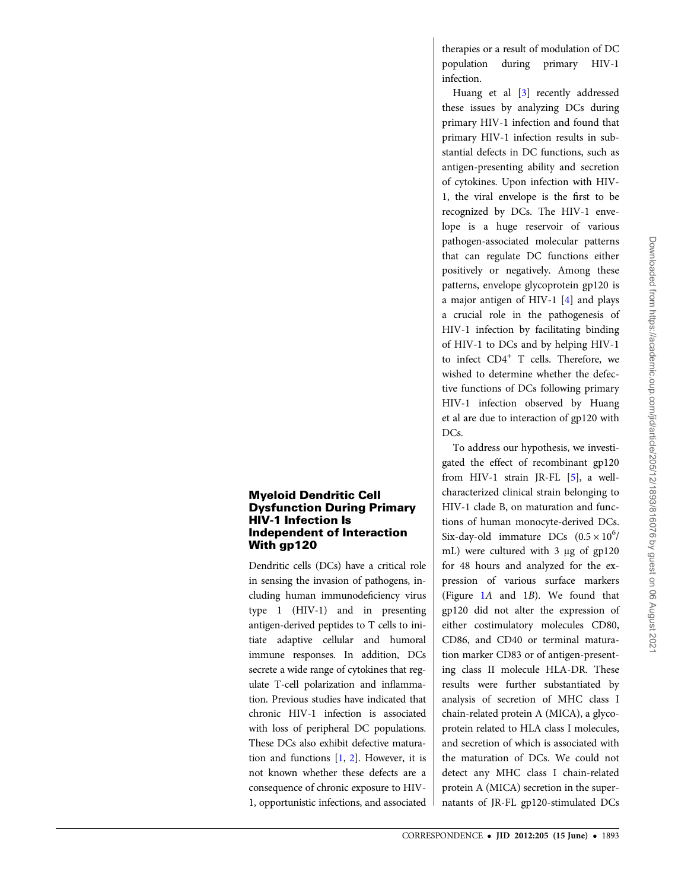therapies or a result of modulation of DC population during primary HIV-1 infection.

Huang et al [3] recently addressed these issues by analyzing DCs during primary HIV-1 infection and found that primary HIV-1 infection results in substantial defects in DC functions, such as antigen-presenting ability and secretion of cytokines. Upon infection with HIV-1, the viral envelope is the first to be recognized by DCs. The HIV-1 envelope is a huge reservoir of various pathogen-associated molecular patterns that can regulate DC functions either positively or negatively. Among these patterns, envelope glycoprotein gp120 is a major antigen of HIV-1 [4] and plays a crucial role in the pathogenesis of HIV-1 infection by facilitating binding of HIV-1 to DCs and by helping HIV-1 to infect CD4<sup>+</sup> T cells. Therefore, we wished to determine whether the defective functions of DCs following primary HIV-1 infection observed by Huang et al are due to interaction of gp120 with DC<sub>s</sub>.

To address our hypothesis, we investigated the effect of recombinant gp120 from HIV-1 strain JR-FL [5], a wellcharacterized clinical strain belonging to HIV-1 clade B, on maturation and functions of human monocyte-derived DCs. Six-day-old immature DCs  $(0.5 \times 10^6)$ mL) were cultured with 3 μg of gp120 for 48 hours and analyzed for the expression of various surface markers (Figure 1A and 1B). We found that gp120 did not alter the expression of either costimulatory molecules CD80, CD86, and CD40 or terminal maturation marker CD83 or of antigen-presenting class II molecule HLA-DR. These results were further substantiated by analysis of secretion of MHC class I chain-related protein A (MICA), a glycoprotein related to HLA class I molecules, and secretion of which is associated with the maturation of DCs. We could not detect any MHC class I chain-related protein A (MICA) secretion in the supernatants of JR-FL gp120-stimulated DCs

# Myeloid Dendritic Cell Dysfunction During Primary HIV-1 Infection Is Independent of Interaction With gp120

Dendritic cells (DCs) have a critical role in sensing the invasion of pathogens, including human immunodeficiency virus type 1 (HIV-1) and in presenting antigen-derived peptides to T cells to initiate adaptive cellular and humoral immune responses. In addition, DCs secrete a wide range of cytokines that regulate T-cell polarization and inflammation. Previous studies have indicated that chronic HIV-1 infection is associated with loss of peripheral DC populations. These DCs also exhibit defective maturation and functions [1, 2]. However, it is not known whether these defects are a consequence of chronic exposure to HIV-1, opportunistic infections, and associated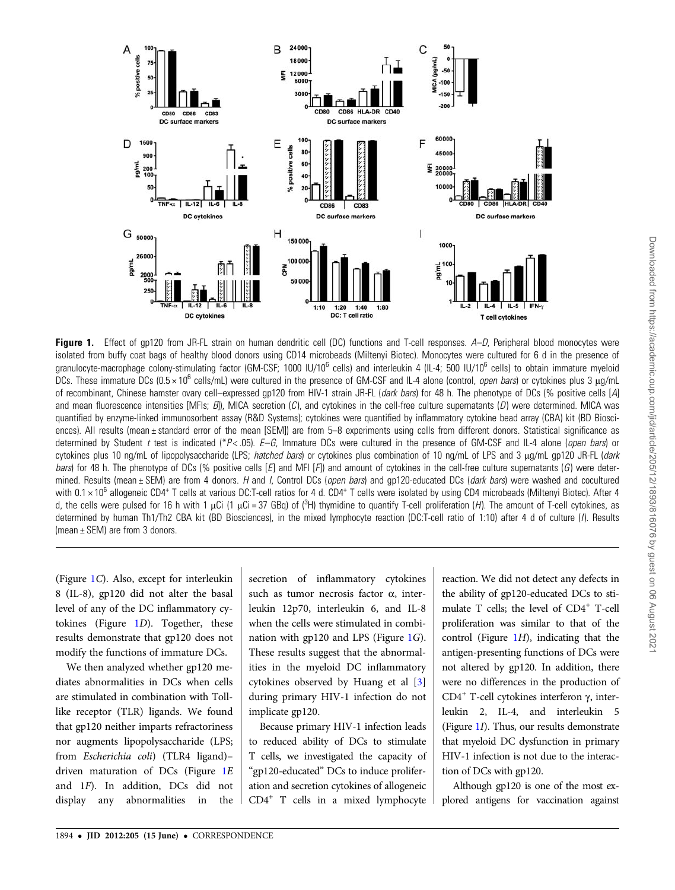

Figure 1. Effect of gp120 from JR-FL strain on human dendritic cell (DC) functions and T-cell responses. A–D, Peripheral blood monocytes were isolated from buffy coat bags of healthy blood donors using CD14 microbeads (Miltenyi Biotec). Monocytes were cultured for 6 d in the presence of granulocyte-macrophage colony-stimulating factor (GM-CSF; 1000 IU/10<sup>6</sup> cells) and interleukin 4 (IL-4; 500 IU/10<sup>6</sup> cells) to obtain immature myeloid DCs. These immature DCs (0.5×10<sup>6</sup> cells/mL) were cultured in the presence of GM-CSF and IL-4 alone (control, *open bars*) or cytokines plus 3 μg/mL of recombinant, Chinese hamster ovary cell–expressed gp120 from HIV-1 strain JR-FL (dark bars) for 48 h. The phenotype of DCs (% positive cells [A] and mean fluorescence intensities [MFIs;  $B$ ]), MICA secretion (C), and cytokines in the cell-free culture supernatants (D) were determined. MICA was quantified by enzyme-linked immunosorbent assay (R&D Systems); cytokines were quantified by inflammatory cytokine bead array (CBA) kit (BD Biosciences). All results (mean ± standard error of the mean [SEM]) are from 5–8 experiments using cells from different donors. Statistical significance as determined by Student t test is indicated (\*P<.05). E–G, Immature DCs were cultured in the presence of GM-CSF and IL-4 alone (open bars) or cytokines plus 10 ng/mL of lipopolysaccharide (LPS; hatched bars) or cytokines plus combination of 10 ng/mL of LPS and 3 μg/mL gp120 JR-FL (dark bars) for 48 h. The phenotype of DCs (% positive cells  $[E]$  and MFI  $[F]$ ) and amount of cytokines in the cell-free culture supernatants  $(G)$  were determined. Results (mean  $\pm$  SEM) are from 4 donors. H and I, Control DCs (*open bars*) and qp120-educated DCs (*dark bars*) were washed and cocultured with 0.1 × 10<sup>6</sup> allogeneic CD4<sup>+</sup> T cells at various DC:T-cell ratios for 4 d. CD4<sup>+</sup> T cells were isolated by using CD4 microbeads (Miltenyi Biotec). After 4 d, the cells were pulsed for 16 h with 1 μCi (1 μCi = 37 GBq) of (<sup>3</sup>H) thymidine to quantify T-cell proliferation (*H*). The amount of T-cell cytokines, as determined by human Th1/Th2 CBA kit (BD Biosciences), in the mixed lymphocyte reaction (DC:T-cell ratio of 1:10) after 4 d of culture (I). Results (mean ± SEM) are from 3 donors.

(Figure 1C). Also, except for interleukin 8 (IL-8), gp120 did not alter the basal level of any of the DC inflammatory cytokines (Figure 1D). Together, these results demonstrate that gp120 does not modify the functions of immature DCs.

We then analyzed whether gp120 mediates abnormalities in DCs when cells are stimulated in combination with Tolllike receptor (TLR) ligands. We found that gp120 neither imparts refractoriness nor augments lipopolysaccharide (LPS; from Escherichia coli) (TLR4 ligand)– driven maturation of DCs (Figure 1E and 1F). In addition, DCs did not display any abnormalities in the

secretion of inflammatory cytokines such as tumor necrosis factor α, interleukin 12p70, interleukin 6, and IL-8 when the cells were stimulated in combination with gp120 and LPS (Figure 1G). These results suggest that the abnormalities in the myeloid DC inflammatory cytokines observed by Huang et al [3] during primary HIV-1 infection do not implicate gp120.

Because primary HIV-1 infection leads to reduced ability of DCs to stimulate T cells, we investigated the capacity of "gp120-educated" DCs to induce proliferation and secretion cytokines of allogeneic CD4<sup>+</sup> T cells in a mixed lymphocyte

reaction. We did not detect any defects in the ability of gp120-educated DCs to stimulate T cells; the level of CD4<sup>+</sup> T-cell proliferation was similar to that of the control (Figure  $1H$ ), indicating that the antigen-presenting functions of DCs were not altered by gp120. In addition, there were no differences in the production of CD4<sup>+</sup> T-cell cytokines interferon γ, interleukin 2, IL-4, and interleukin 5 (Figure 1I). Thus, our results demonstrate that myeloid DC dysfunction in primary HIV-1 infection is not due to the interaction of DCs with gp120.

Although gp120 is one of the most explored antigens for vaccination against